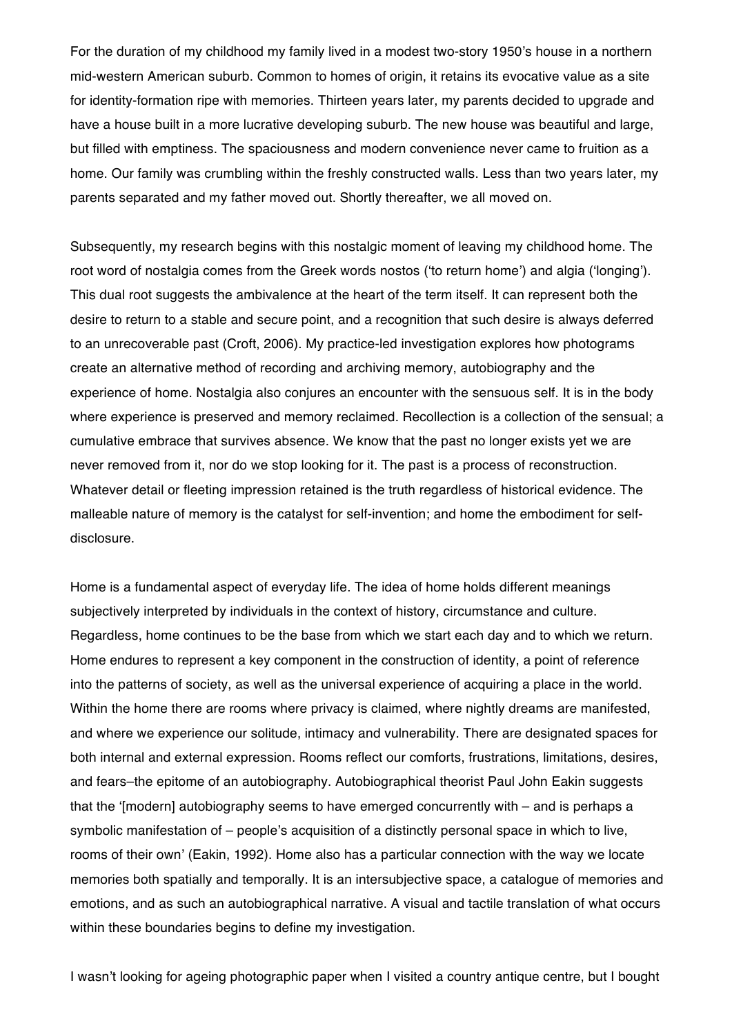For the duration of my childhood my family lived in a modest two-story 1950's house in a northern mid-western American suburb. Common to homes of origin, it retains its evocative value as a site for identity-formation ripe with memories. Thirteen years later, my parents decided to upgrade and have a house built in a more lucrative developing suburb. The new house was beautiful and large, but filled with emptiness. The spaciousness and modern convenience never came to fruition as a home. Our family was crumbling within the freshly constructed walls. Less than two years later, my parents separated and my father moved out. Shortly thereafter, we all moved on.

Subsequently, my research begins with this nostalgic moment of leaving my childhood home. The root word of nostalgia comes from the Greek words nostos ('to return home') and algia ('longing'). This dual root suggests the ambivalence at the heart of the term itself. It can represent both the desire to return to a stable and secure point, and a recognition that such desire is always deferred to an unrecoverable past (Croft, 2006). My practice-led investigation explores how photograms create an alternative method of recording and archiving memory, autobiography and the experience of home. Nostalgia also conjures an encounter with the sensuous self. It is in the body where experience is preserved and memory reclaimed. Recollection is a collection of the sensual; a cumulative embrace that survives absence. We know that the past no longer exists yet we are never removed from it, nor do we stop looking for it. The past is a process of reconstruction. Whatever detail or fleeting impression retained is the truth regardless of historical evidence. The malleable nature of memory is the catalyst for self-invention; and home the embodiment for selfdisclosure.

Home is a fundamental aspect of everyday life. The idea of home holds different meanings subjectively interpreted by individuals in the context of history, circumstance and culture. Regardless, home continues to be the base from which we start each day and to which we return. Home endures to represent a key component in the construction of identity, a point of reference into the patterns of society, as well as the universal experience of acquiring a place in the world. Within the home there are rooms where privacy is claimed, where nightly dreams are manifested, and where we experience our solitude, intimacy and vulnerability. There are designated spaces for both internal and external expression. Rooms reflect our comforts, frustrations, limitations, desires, and fears–the epitome of an autobiography. Autobiographical theorist Paul John Eakin suggests that the '[modern] autobiography seems to have emerged concurrently with – and is perhaps a symbolic manifestation of – people's acquisition of a distinctly personal space in which to live, rooms of their own' (Eakin, 1992). Home also has a particular connection with the way we locate memories both spatially and temporally. It is an intersubjective space, a catalogue of memories and emotions, and as such an autobiographical narrative. A visual and tactile translation of what occurs within these boundaries begins to define my investigation.

I wasn't looking for ageing photographic paper when I visited a country antique centre, but I bought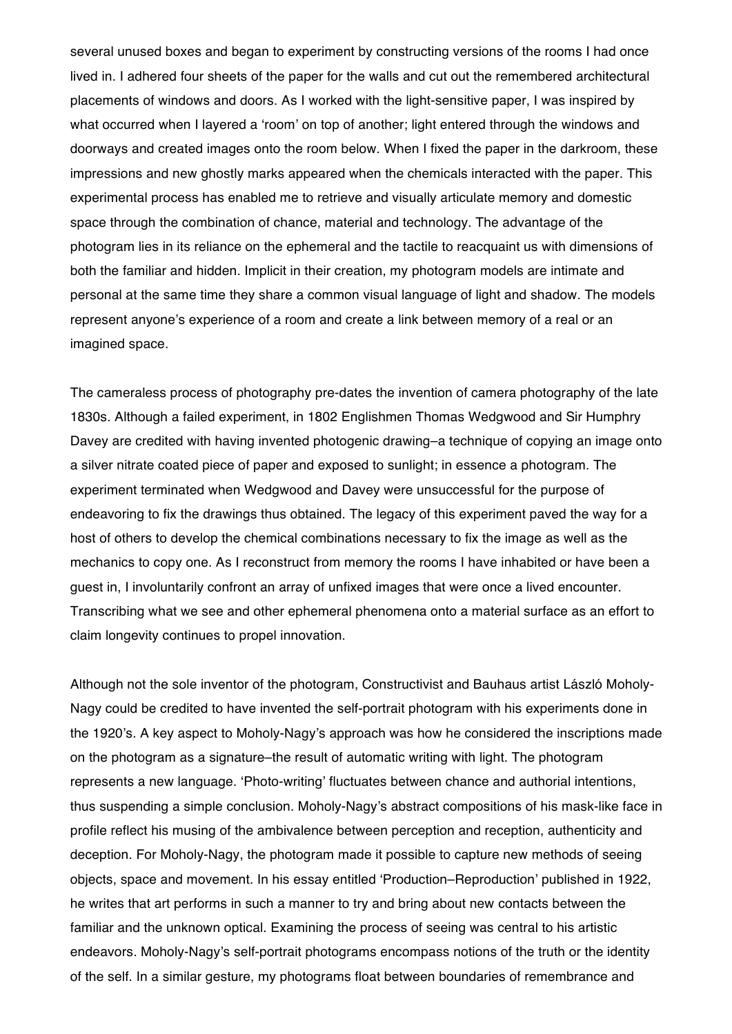several unused boxes and began to experiment by constructing versions of the rooms I had once lived in. I adhered four sheets of the paper for the walls and cut out the remembered architectural placements of windows and doors. As I worked with the light-sensitive paper, I was inspired by what occurred when I layered a 'room' on top of another; light entered through the windows and doorways and created images onto the room below. When I fixed the paper in the darkroom, these impressions and new ghostly marks appeared when the chemicals interacted with the paper. This experimental process has enabled me to retrieve and visually articulate memory and domestic space through the combination of chance, material and technology. The advantage of the photogram lies in its reliance on the ephemeral and the tactile to reacquaint us with dimensions of both the familiar and hidden. Implicit in their creation, my photogram models are intimate and personal at the same time they share a common visual language of light and shadow. The models represent anyone's experience of a room and create a link between memory of a real or an imagined space.

The cameraless process of photography pre-dates the invention of camera photography of the late 1830s. Although a failed experiment, in 1802 Englishmen Thomas Wedgwood and Sir Humphry Davey are credited with having invented photogenic drawing–a technique of copying an image onto a silver nitrate coated piece of paper and exposed to sunlight; in essence a photogram. The experiment terminated when Wedgwood and Davey were unsuccessful for the purpose of endeavoring to fix the drawings thus obtained. The legacy of this experiment paved the way for a host of others to develop the chemical combinations necessary to fix the image as well as the mechanics to copy one. As I reconstruct from memory the rooms I have inhabited or have been a guest in, I involuntarily confront an array of unfixed images that were once a lived encounter. Transcribing what we see and other ephemeral phenomena onto a material surface as an effort to claim longevity continues to propel innovation.

Although not the sole inventor of the photogram, Constructivist and Bauhaus artist László Moholy-Nagy could be credited to have invented the self-portrait photogram with his experiments done in the 1920's. A key aspect to Moholy-Nagy's approach was how he considered the inscriptions made on the photogram as a signature–the result of automatic writing with light. The photogram represents a new language. 'Photo-writing' fluctuates between chance and authorial intentions, thus suspending a simple conclusion. Moholy-Nagy's abstract compositions of his mask-like face in profile reflect his musing of the ambivalence between perception and reception, authenticity and deception. For Moholy-Nagy, the photogram made it possible to capture new methods of seeing objects, space and movement. In his essay entitled 'Production–Reproduction' published in 1922, he writes that art performs in such a manner to try and bring about new contacts between the familiar and the unknown optical. Examining the process of seeing was central to his artistic endeavors. Moholy-Nagy's self-portrait photograms encompass notions of the truth or the identity of the self. In a similar gesture, my photograms float between boundaries of remembrance and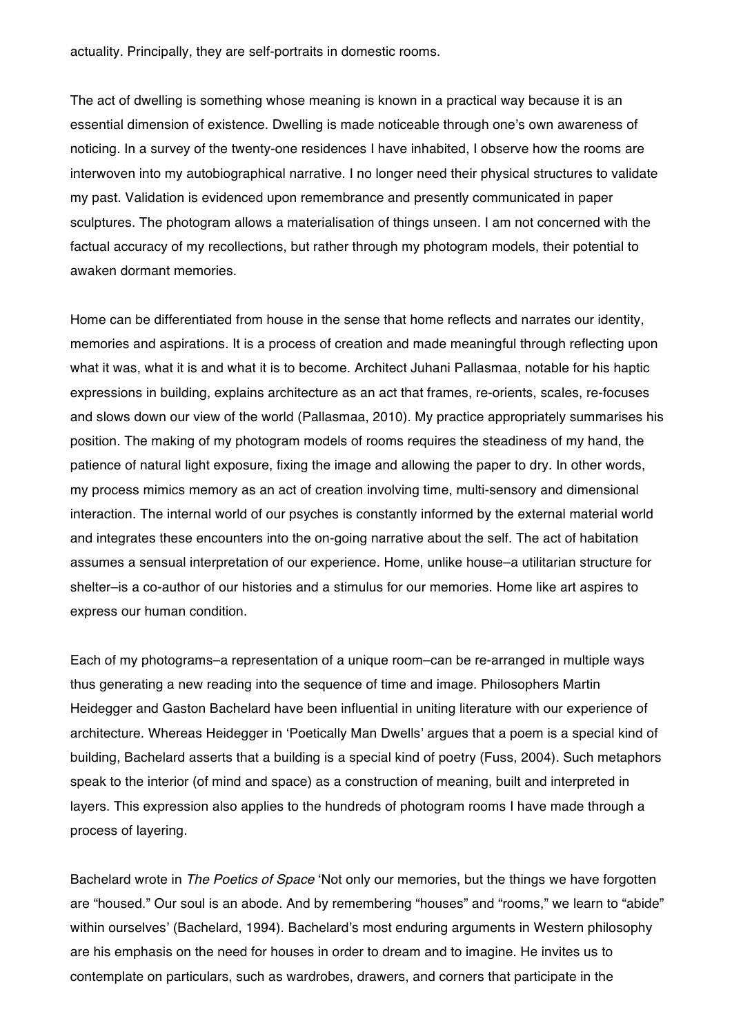actuality. Principally, they are self-portraits in domestic rooms.

The act of dwelling is something whose meaning is known in a practical way because it is an essential dimension of existence. Dwelling is made noticeable through one's own awareness of noticing. In a survey of the twenty-one residences I have inhabited, I observe how the rooms are interwoven into my autobiographical narrative. I no longer need their physical structures to validate my past. Validation is evidenced upon remembrance and presently communicated in paper sculptures. The photogram allows a materialisation of things unseen. I am not concerned with the factual accuracy of my recollections, but rather through my photogram models, their potential to awaken dormant memories.

Home can be differentiated from house in the sense that home reflects and narrates our identity, memories and aspirations. It is a process of creation and made meaningful through reflecting upon what it was, what it is and what it is to become. Architect Juhani Pallasmaa, notable for his haptic expressions in building, explains architecture as an act that frames, re-orients, scales, re-focuses and slows down our view of the world (Pallasmaa, 2010). My practice appropriately summarises his position. The making of my photogram models of rooms requires the steadiness of my hand, the patience of natural light exposure, fixing the image and allowing the paper to dry. In other words, my process mimics memory as an act of creation involving time, multi-sensory and dimensional interaction. The internal world of our psyches is constantly informed by the external material world and integrates these encounters into the on-going narrative about the self. The act of habitation assumes a sensual interpretation of our experience. Home, unlike house–a utilitarian structure for shelter–is a co-author of our histories and a stimulus for our memories. Home like art aspires to express our human condition.

Each of my photograms–a representation of a unique room–can be re-arranged in multiple ways thus generating a new reading into the sequence of time and image. Philosophers Martin Heidegger and Gaston Bachelard have been influential in uniting literature with our experience of architecture. Whereas Heidegger in 'Poetically Man Dwells' argues that a poem is a special kind of building, Bachelard asserts that a building is a special kind of poetry (Fuss, 2004). Such metaphors speak to the interior (of mind and space) as a construction of meaning, built and interpreted in layers. This expression also applies to the hundreds of photogram rooms I have made through a process of layering.

Bachelard wrote in *The Poetics of Space* 'Not only our memories, but the things we have forgotten are "housed." Our soul is an abode. And by remembering "houses" and "rooms," we learn to "abide" within ourselves' (Bachelard, 1994). Bachelard's most enduring arguments in Western philosophy are his emphasis on the need for houses in order to dream and to imagine. He invites us to contemplate on particulars, such as wardrobes, drawers, and corners that participate in the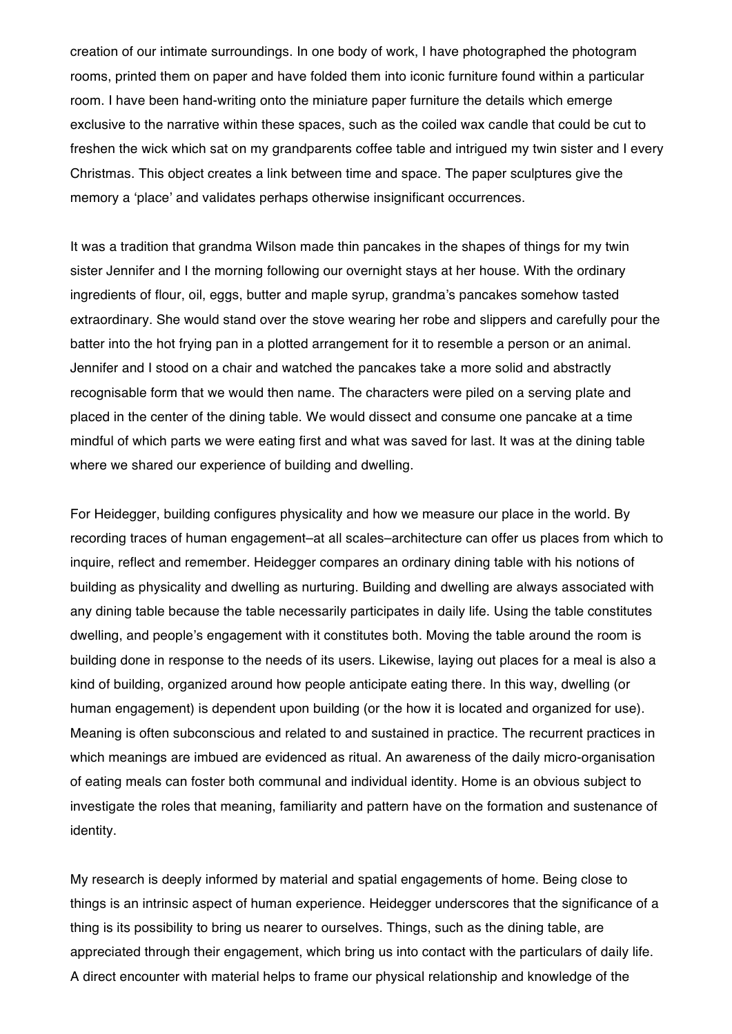creation of our intimate surroundings. In one body of work, I have photographed the photogram rooms, printed them on paper and have folded them into iconic furniture found within a particular room. I have been hand-writing onto the miniature paper furniture the details which emerge exclusive to the narrative within these spaces, such as the coiled wax candle that could be cut to freshen the wick which sat on my grandparents coffee table and intrigued my twin sister and I every Christmas. This object creates a link between time and space. The paper sculptures give the memory a 'place' and validates perhaps otherwise insignificant occurrences.

It was a tradition that grandma Wilson made thin pancakes in the shapes of things for my twin sister Jennifer and I the morning following our overnight stays at her house. With the ordinary ingredients of flour, oil, eggs, butter and maple syrup, grandma's pancakes somehow tasted extraordinary. She would stand over the stove wearing her robe and slippers and carefully pour the batter into the hot frying pan in a plotted arrangement for it to resemble a person or an animal. Jennifer and I stood on a chair and watched the pancakes take a more solid and abstractly recognisable form that we would then name. The characters were piled on a serving plate and placed in the center of the dining table. We would dissect and consume one pancake at a time mindful of which parts we were eating first and what was saved for last. It was at the dining table where we shared our experience of building and dwelling.

For Heidegger, building configures physicality and how we measure our place in the world. By recording traces of human engagement–at all scales–architecture can offer us places from which to inquire, reflect and remember. Heidegger compares an ordinary dining table with his notions of building as physicality and dwelling as nurturing. Building and dwelling are always associated with any dining table because the table necessarily participates in daily life. Using the table constitutes dwelling, and people's engagement with it constitutes both. Moving the table around the room is building done in response to the needs of its users. Likewise, laying out places for a meal is also a kind of building, organized around how people anticipate eating there. In this way, dwelling (or human engagement) is dependent upon building (or the how it is located and organized for use). Meaning is often subconscious and related to and sustained in practice. The recurrent practices in which meanings are imbued are evidenced as ritual. An awareness of the daily micro-organisation of eating meals can foster both communal and individual identity. Home is an obvious subject to investigate the roles that meaning, familiarity and pattern have on the formation and sustenance of identity.

My research is deeply informed by material and spatial engagements of home. Being close to things is an intrinsic aspect of human experience. Heidegger underscores that the significance of a thing is its possibility to bring us nearer to ourselves. Things, such as the dining table, are appreciated through their engagement, which bring us into contact with the particulars of daily life. A direct encounter with material helps to frame our physical relationship and knowledge of the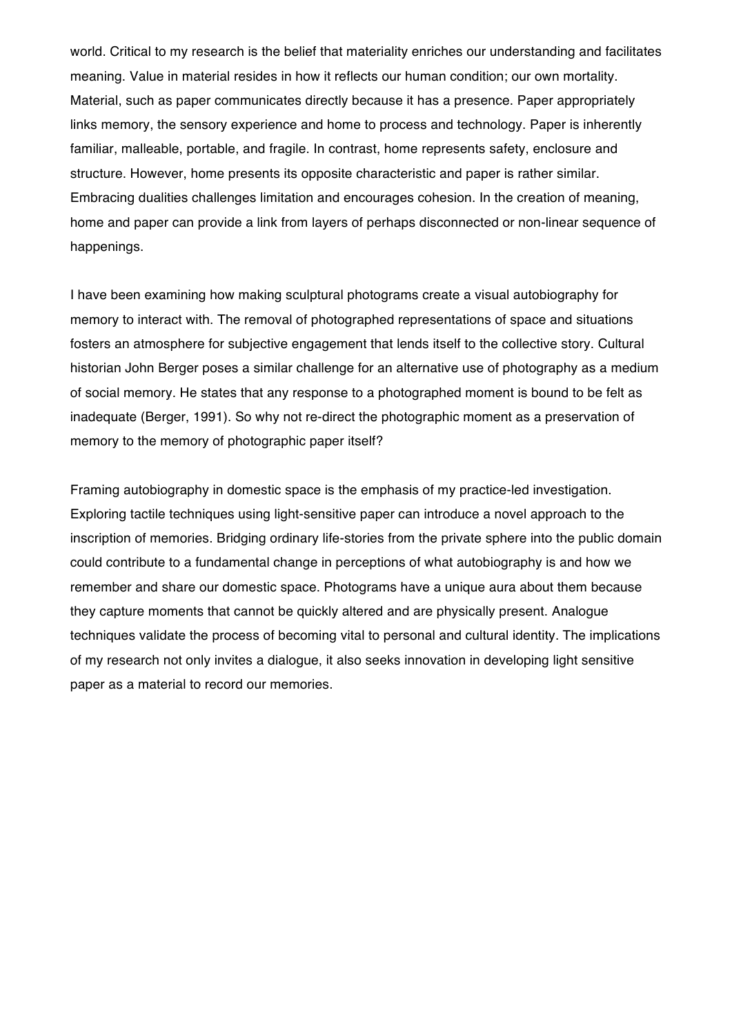world. Critical to my research is the belief that materiality enriches our understanding and facilitates meaning. Value in material resides in how it reflects our human condition; our own mortality. Material, such as paper communicates directly because it has a presence. Paper appropriately links memory, the sensory experience and home to process and technology. Paper is inherently familiar, malleable, portable, and fragile. In contrast, home represents safety, enclosure and structure. However, home presents its opposite characteristic and paper is rather similar. Embracing dualities challenges limitation and encourages cohesion. In the creation of meaning, home and paper can provide a link from layers of perhaps disconnected or non-linear sequence of happenings.

I have been examining how making sculptural photograms create a visual autobiography for memory to interact with. The removal of photographed representations of space and situations fosters an atmosphere for subjective engagement that lends itself to the collective story. Cultural historian John Berger poses a similar challenge for an alternative use of photography as a medium of social memory. He states that any response to a photographed moment is bound to be felt as inadequate (Berger, 1991). So why not re-direct the photographic moment as a preservation of memory to the memory of photographic paper itself?

Framing autobiography in domestic space is the emphasis of my practice-led investigation. Exploring tactile techniques using light-sensitive paper can introduce a novel approach to the inscription of memories. Bridging ordinary life-stories from the private sphere into the public domain could contribute to a fundamental change in perceptions of what autobiography is and how we remember and share our domestic space. Photograms have a unique aura about them because they capture moments that cannot be quickly altered and are physically present. Analogue techniques validate the process of becoming vital to personal and cultural identity. The implications of my research not only invites a dialogue, it also seeks innovation in developing light sensitive paper as a material to record our memories.